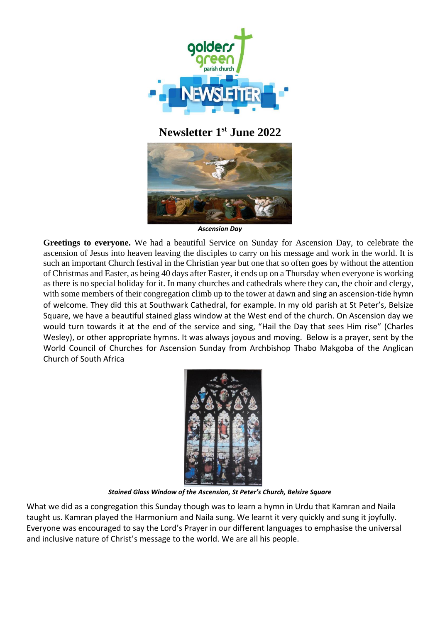

**Newsletter 1 st June 2022**



*Ascension Day*

**Greetings to everyone.** We had a beautiful Service on Sunday for Ascension Day, to celebrate the ascension of Jesus into heaven leaving the disciples to carry on his message and work in the world. It is such an important Church festival in the Christian year but one that so often goes by without the attention of Christmas and Easter, as being 40 days after Easter, it ends up on a Thursday when everyone is working as there is no special holiday for it. In many churches and cathedrals where they can, the choir and clergy, with some members of their congregation climb up to the tower at dawn and sing an ascension-tide hymn of welcome. They did this at Southwark Cathedral, for example. In my old parish at St Peter's, Belsize Square, we have a beautiful stained glass window at the West end of the church. On Ascension day we would turn towards it at the end of the service and sing, "Hail the Day that sees Him rise" (Charles Wesley), or other appropriate hymns. It was always joyous and moving. Below is a prayer, sent by the World Council of Churches for Ascension Sunday from Archbishop Thabo Makgoba of the Anglican Church of South Africa



*Stained Glass Window of the Ascension, St Peter's Church, Belsize Square*

What we did as a congregation this Sunday though was to learn a hymn in Urdu that Kamran and Naila taught us. Kamran played the Harmonium and Naila sung. We learnt it very quickly and sung it joyfully. Everyone was encouraged to say the Lord's Prayer in our different languages to emphasise the universal and inclusive nature of Christ's message to the world. We are all his people.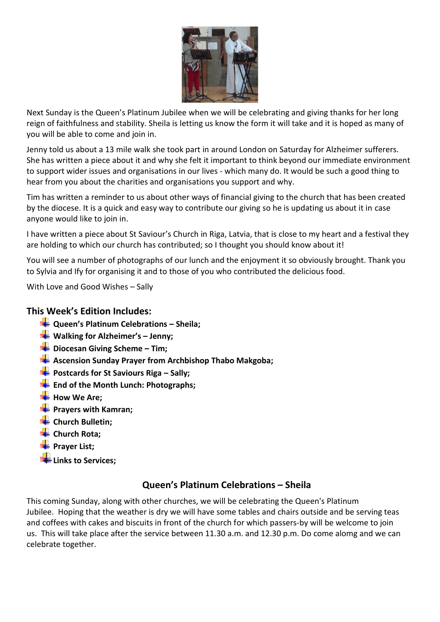

Next Sunday is the Queen's Platinum Jubilee when we will be celebrating and giving thanks for her long reign of faithfulness and stability. Sheila is letting us know the form it will take and it is hoped as many of you will be able to come and join in.

Jenny told us about a 13 mile walk she took part in around London on Saturday for Alzheimer sufferers. She has written a piece about it and why she felt it important to think beyond our immediate environment to support wider issues and organisations in our lives - which many do. It would be such a good thing to hear from you about the charities and organisations you support and why.

Tim has written a reminder to us about other ways of financial giving to the church that has been created by the diocese. It is a quick and easy way to contribute our giving so he is updating us about it in case anyone would like to join in.

I have written a piece about St Saviour's Church in Riga, Latvia, that is close to my heart and a festival they are holding to which our church has contributed; so I thought you should know about it!

You will see a number of photographs of our lunch and the enjoyment it so obviously brought. Thank you to Sylvia and Ify for organising it and to those of you who contributed the delicious food.

With Love and Good Wishes – Sally

## **This Week's Edition Includes:**

- **Queen's Platinum Celebrations – Sheila;**
- **Walking for Alzheimer's – Jenny;**
- **Diocesan Giving Scheme – Tim;**
- **Ascension Sunday Prayer from Archbishop Thabo Makgoba;**
- **Postcards for St Saviours Riga – Sally;**
- **End of the Month Lunch: Photographs;**
- How We Are;
- **Prayers with Kamran;**
- **Example 1** Church Bulletin;
- **← Church Rota:**
- **Prayer List;**
- **Links to Services;**

## **Queen's Platinum Celebrations – Sheila**

This coming Sunday, along with other churches, we will be celebrating the Queen's Platinum Jubilee. Hoping that the weather is dry we will have some tables and chairs outside and be serving teas and coffees with cakes and biscuits in front of the church for which passers-by will be welcome to join us. This will take place after the service between 11.30 a.m. and 12.30 p.m. Do come alomg and we can celebrate together.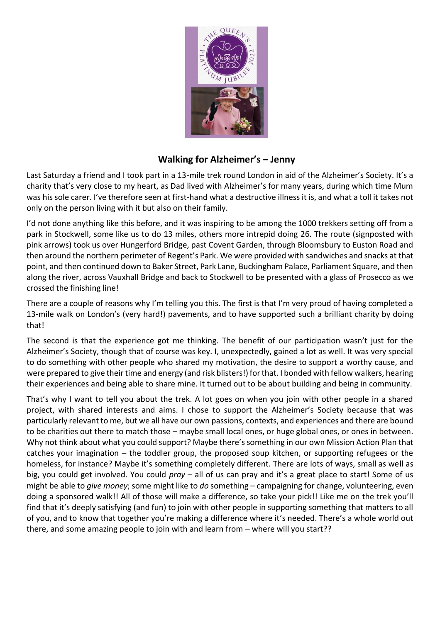

## **Walking for Alzheimer's – Jenny**

Last Saturday a friend and I took part in a 13-mile trek round London in aid of the Alzheimer's Society. It's a charity that's very close to my heart, as Dad lived with Alzheimer's for many years, during which time Mum was his sole carer. I've therefore seen at first-hand what a destructive illness it is, and what a toll it takes not only on the person living with it but also on their family.

I'd not done anything like this before, and it was inspiring to be among the 1000 trekkers setting off from a park in Stockwell, some like us to do 13 miles, others more intrepid doing 26. The route (signposted with pink arrows) took us over Hungerford Bridge, past Covent Garden, through Bloomsbury to Euston Road and then around the northern perimeter of Regent's Park. We were provided with sandwiches and snacks at that point, and then continued down to Baker Street, Park Lane, Buckingham Palace, Parliament Square, and then along the river, across Vauxhall Bridge and back to Stockwell to be presented with a glass of Prosecco as we crossed the finishing line!

There are a couple of reasons why I'm telling you this. The first is that I'm very proud of having completed a 13-mile walk on London's (very hard!) pavements, and to have supported such a brilliant charity by doing that!

The second is that the experience got me thinking. The benefit of our participation wasn't just for the Alzheimer's Society, though that of course was key. I, unexpectedly, gained a lot as well. It was very special to do something with other people who shared my motivation, the desire to support a worthy cause, and were prepared to give their time and energy (and risk blisters!) for that. I bonded with fellow walkers, hearing their experiences and being able to share mine. It turned out to be about building and being in community.

That's why I want to tell you about the trek. A lot goes on when you join with other people in a shared project, with shared interests and aims. I chose to support the Alzheimer's Society because that was particularly relevant to me, but we all have our own passions, contexts, and experiences and there are bound to be charities out there to match those – maybe small local ones, or huge global ones, or ones in between. Why not think about what you could support? Maybe there's something in our own Mission Action Plan that catches your imagination – the toddler group, the proposed soup kitchen, or supporting refugees or the homeless, for instance? Maybe it's something completely different. There are lots of ways, small as well as big, you could get involved. You could *pray* – all of us can pray and it's a great place to start! Some of us might be able to *give money*; some might like to *do* something – campaigning for change, volunteering, even doing a sponsored walk!! All of those will make a difference, so take your pick!! Like me on the trek you'll find that it's deeply satisfying (and fun) to join with other people in supporting something that matters to all of you, and to know that together you're making a difference where it's needed. There's a whole world out there, and some amazing people to join with and learn from – where will you start??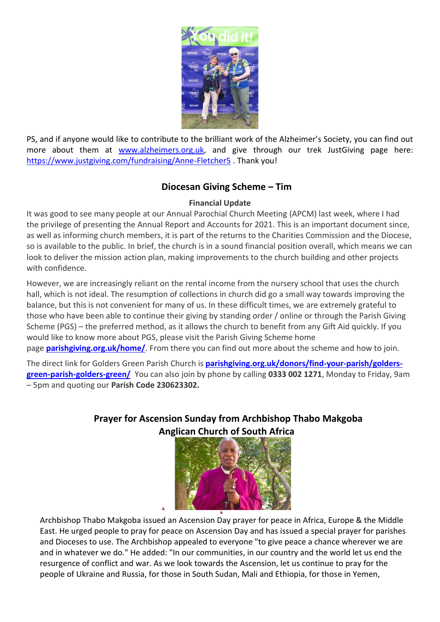

PS, and if anyone would like to contribute to the brilliant work of the Alzheimer's Society, you can find out more about them at [www.alzheimers.org.uk,](http://www.alzheimers.org.uk/) and give through our trek JustGiving page here: <https://www.justgiving.com/fundraising/Anne-Fletcher5> . Thank you!

# **Diocesan Giving Scheme – Tim**

## **Financial Update**

It was good to see many people at our Annual Parochial Church Meeting (APCM) last week, where I had the privilege of presenting the Annual Report and Accounts for 2021. This is an important document since, as well as informing church members, it is part of the returns to the Charities Commission and the Diocese, so is available to the public. In brief, the church is in a sound financial position overall, which means we can look to deliver the mission action plan, making improvements to the church building and other projects with confidence.

However, we are increasingly reliant on the rental income from the nursery school that uses the church hall, which is not ideal. The resumption of collections in church did go a small way towards improving the balance, but this is not convenient for many of us. In these difficult times, we are extremely grateful to those who have been able to continue their giving by standing order / online or through the Parish Giving Scheme (PGS) – the preferred method, as it allows the church to benefit from any Gift Aid quickly. If you would like to know more about PGS, please visit the Parish Giving Scheme home

page **[parishgiving.org.uk/home/](http://parishgiving.org.uk/home/)**. From there you can find out more about the scheme and how to join.

The direct link for Golders Green Parish Church is **[parishgiving.org.uk/donors/find-your-parish/golders](http://parishgiving.org.uk/donors/find-your-parish/golders-green-parish-golders-green/)[green-parish-golders-green/](http://parishgiving.org.uk/donors/find-your-parish/golders-green-parish-golders-green/)** You can also join by phone by calling **0333 002 1271**, Monday to Friday, 9am – 5pm and quoting our **Parish Code 230623302.**

# **Prayer for Ascension Sunday from Archbishop Thabo Makgoba Anglican Church of South Africa**



Archbishop Thabo Makgoba issued an Ascension Day prayer for peace in Africa, Europe & the Middle East. He urged people to pray for peace on Ascension Day and has issued a special prayer for parishes and Dioceses to use. The Archbishop appealed to everyone "to give peace a chance wherever we are and in whatever we do." He added: "In our communities, in our country and the world let us end the resurgence of conflict and war. As we look towards the Ascension, let us continue to pray for the people of Ukraine and Russia, for those in South Sudan, Mali and Ethiopia, for those in Yemen,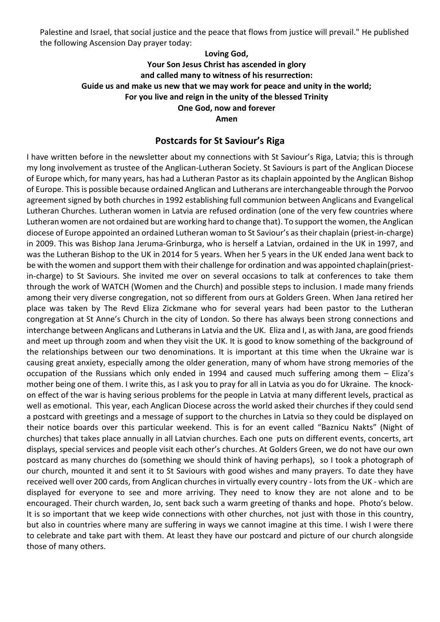Palestine and Israel, that social justice and the peace that flows from justice will prevail." He published the following Ascension Day prayer today:

## **Loving God,**

**Your Son Jesus Christ has ascended in glory and called many to witness of his resurrection: Guide us and make us new that we may work for peace and unity in the world; For you live and reign in the unity of the blessed Trinity One God, now and forever**

**Amen**

## **Postcards for St Saviour's Riga**

I have written before in the newsletter about my connections with St Saviour's Riga, Latvia; this is through my long involvement as trustee of the Anglican-Lutheran Society. St Saviours is part of the Anglican Diocese of Europe which, for many years, has had a Lutheran Pastor as its chaplain appointed by the Anglican Bishop of Europe. This is possible because ordained Anglican and Lutherans are interchangeable through the Porvoo agreement signed by both churches in 1992 establishing full communion between Anglicans and Evangelical Lutheran Churches. Lutheran women in Latvia are refused ordination (one of the very few countries where Lutheran women are not ordained but are working hard to change that). To support the women, the Anglican diocese of Europe appointed an ordained Lutheran woman to St Saviour's as their chaplain (priest-in-charge) in 2009. This was Bishop Jana Jeruma-Grinburga, who is herself a Latvian, ordained in the UK in 1997, and was the Lutheran Bishop to the UK in 2014 for 5 years. When her 5 years in the UK ended Jana went back to be with the women and support them with their challenge for ordination and was appointed chaplain(priestin-charge) to St Saviours. She invited me over on several occasions to talk at conferences to take them through the work of WATCH (Women and the Church) and possible steps to inclusion. I made many friends among their very diverse congregation, not so different from ours at Golders Green. When Jana retired her place was taken by The Revd Eliza Zickmane who for several years had been pastor to the Lutheran congregation at St Anne's Church in the city of London. So there has always been strong connections and interchange between Anglicans and Lutherans in Latvia and the UK. Eliza and I, as with Jana, are good friends and meet up through zoom and when they visit the UK. It is good to know something of the background of the relationships between our two denominations. It is important at this time when the Ukraine war is causing great anxiety, especially among the older generation, many of whom have strong memories of the occupation of the Russians which only ended in 1994 and caused much suffering among them – Eliza's mother being one of them. I write this, as I ask you to pray for all in Latvia as you do for Ukraine. The knockon effect of the war is having serious problems for the people in Latvia at many different levels, practical as well as emotional. This year, each Anglican Diocese across the world asked their churches if they could send a postcard with greetings and a message of support to the churches in Latvia so they could be displayed on their notice boards over this particular weekend. This is for an event called "Baznicu Nakts" (Night of churches) that takes place annually in all Latvian churches. Each one puts on different events, concerts, art displays, special services and people visit each other's churches. At Golders Green, we do not have our own postcard as many churches do (something we should think of having perhaps), so I took a photograph of our church, mounted it and sent it to St Saviours with good wishes and many prayers. To date they have received well over 200 cards, from Anglican churches in virtually every country - lots from the UK - which are displayed for everyone to see and more arriving. They need to know they are not alone and to be encouraged. Their church warden, Jo, sent back such a warm greeting of thanks and hope. Photo's below. It is so important that we keep wide connections with other churches, not just with those in this country, but also in countries where many are suffering in ways we cannot imagine at this time. I wish I were there to celebrate and take part with them. At least they have our postcard and picture of our church alongside those of many others.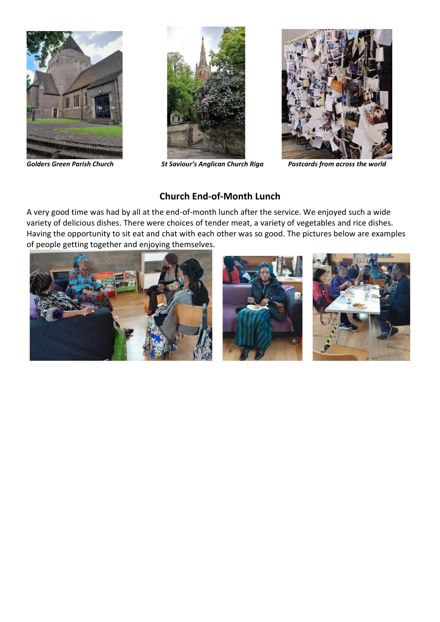





*Golders Green Parish Church St Saviour's Anglican Church Riga Postcards from across the world*

## **Church End-of-Month Lunch**

A very good time was had by all at the end-of-month lunch after the service. We enjoyed such a wide variety of delicious dishes. There were choices of tender meat, a variety of vegetables and rice dishes. Having the opportunity to sit eat and chat with each other was so good. The pictures below are examples of people getting together and enjoying themselves.

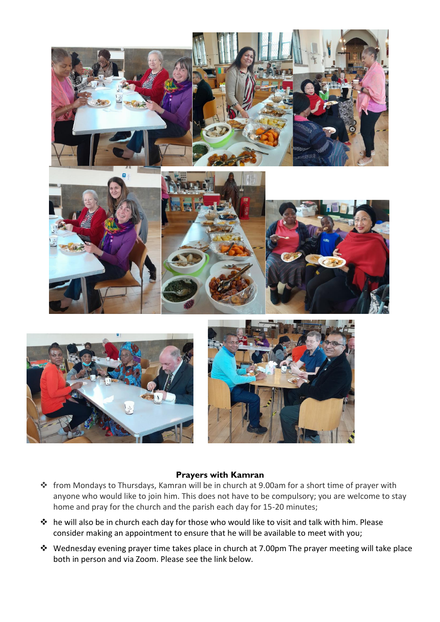

#### **Prayers with Kamran**

- ❖ from Mondays to Thursdays, Kamran will be in church at 9.00am for a short time of prayer with anyone who would like to join him. This does not have to be compulsory; you are welcome to stay home and pray for the church and the parish each day for 15-20 minutes;
- ❖ he will also be in church each day for those who would like to visit and talk with him. Please consider making an appointment to ensure that he will be available to meet with you;
- ❖ Wednesday evening prayer time takes place in church at 7.00pm The prayer meeting will take place both in person and via Zoom. Please see the link below.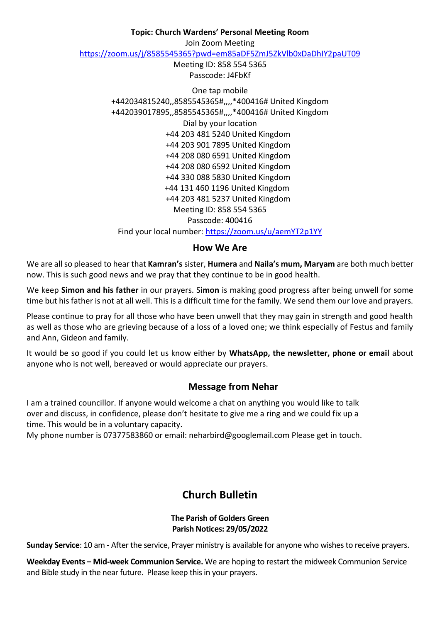#### **Topic: Church Wardens' Personal Meeting Room**

Join Zoom Meeting

<https://zoom.us/j/8585545365?pwd=em85aDF5ZmJ5ZkVlb0xDaDhIY2paUT09>

Meeting ID: 858 554 5365 Passcode: J4FbKf

One tap mobile +442034815240,,8585545365#,,,,\*400416# United Kingdom +442039017895,,8585545365#,,,,\*400416# United Kingdom Dial by your location +44 203 481 5240 United Kingdom +44 203 901 7895 United Kingdom +44 208 080 6591 United Kingdom +44 208 080 6592 United Kingdom +44 330 088 5830 United Kingdom +44 131 460 1196 United Kingdom +44 203 481 5237 United Kingdom Meeting ID: 858 554 5365 Passcode: 400416 Find your local number:<https://zoom.us/u/aemYT2p1YY>

#### **How We Are**

We are all so pleased to hear that **Kamran's** sister, **Humera** and **Naila's mum, Maryam** are both much better now. This is such good news and we pray that they continue to be in good health.

We keep **Simon and his father** in our prayers. S**imon** is making good progress after being unwell for some time but his father is not at all well. This is a difficult time for the family. We send them our love and prayers.

Please continue to pray for all those who have been unwell that they may gain in strength and good health as well as those who are grieving because of a loss of a loved one; we think especially of Festus and family and Ann, Gideon and family.

It would be so good if you could let us know either by **WhatsApp, the newsletter, phone or email** about anyone who is not well, bereaved or would appreciate our prayers.

## **Message from Nehar**

I am a trained councillor. If anyone would welcome a chat on anything you would like to talk over and discuss, in confidence, please don't hesitate to give me a ring and we could fix up a time. This would be in a voluntary capacity.

My phone number is 07377583860 or email: neharbird@googlemail.com Please get in touch.

# **Church Bulletin**

#### **The Parish of Golders Green Parish Notices: 29/05/2022**

**Sunday Service**: 10 am - After the service, Prayer ministry is available for anyone who wishes to receive prayers.

**Weekday Events – Mid-week Communion Service.** We are hoping to restart the midweek Communion Service and Bible study in the near future. Please keep this in your prayers.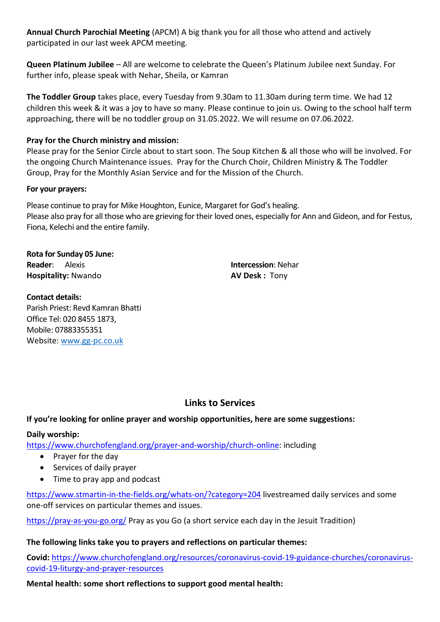**Annual Church Parochial Meeting** (APCM) A big thank you for all those who attend and actively participated in our last week APCM meeting.

**Queen Platinum Jubilee** – All are welcome to celebrate the Queen's Platinum Jubilee next Sunday. For further info, please speak with Nehar, Sheila, or Kamran

**The Toddler Group** takes place, every Tuesday from 9.30am to 11.30am during term time. We had 12 children this week & it was a joy to have so many. Please continue to join us. Owing to the school half term approaching, there will be no toddler group on 31.05.2022. We will resume on 07.06.2022.

## **Pray for the Church ministry and mission:**

Please pray for the Senior Circle about to start soon. The Soup Kitchen & all those who will be involved. For the ongoing Church Maintenance issues. Pray for the Church Choir, Children Ministry & The Toddler Group, Pray for the Monthly Asian Service and for the Mission of the Church.

#### **For your prayers:**

Please continue to pray for Mike Houghton, Eunice, Margaret for God's healing. Please also pray for all those who are grieving for their loved ones, especially for Ann and Gideon, and for Festus, Fiona, Kelechi and the entire family.

**Rota for Sunday 05 June: Reader**: Alexis **Intercession**: Nehar **Hospitality:** Nwando **AV Desk : Tony** 

**Contact details:** Parish Priest: Revd Kamran Bhatti Office Tel: 020 8455 1873, Mobile: 07883355351 Website: [www.gg-pc.co.uk](http://www.gg-pc.co.uk/)

# **Links to Services**

## **If you're looking for online prayer and worship opportunities, here are some suggestions:**

## **Daily worship:**

[https://www.churchofengland.org/prayer-and-worship/church-online:](https://www.churchofengland.org/prayer-and-worship/church-online) including

- Prayer for the day
- Services of daily prayer
- Time to pray app and podcast

<https://www.stmartin-in-the-fields.org/whats-on/?category=204> livestreamed daily services and some one-off services on particular themes and issues.

<https://pray-as-you-go.org/> Pray as you Go (a short service each day in the Jesuit Tradition)

## **The following links take you to prayers and reflections on particular themes:**

**Covid:** [https://www.churchofengland.org/resources/coronavirus-covid-19-guidance-churches/coronavirus](https://www.churchofengland.org/resources/coronavirus-covid-19-guidance-churches/coronavirus-covid-19-liturgy-and-prayer-resources)[covid-19-liturgy-and-prayer-resources](https://www.churchofengland.org/resources/coronavirus-covid-19-guidance-churches/coronavirus-covid-19-liturgy-and-prayer-resources)

#### **Mental health: some short reflections to support good mental health:**